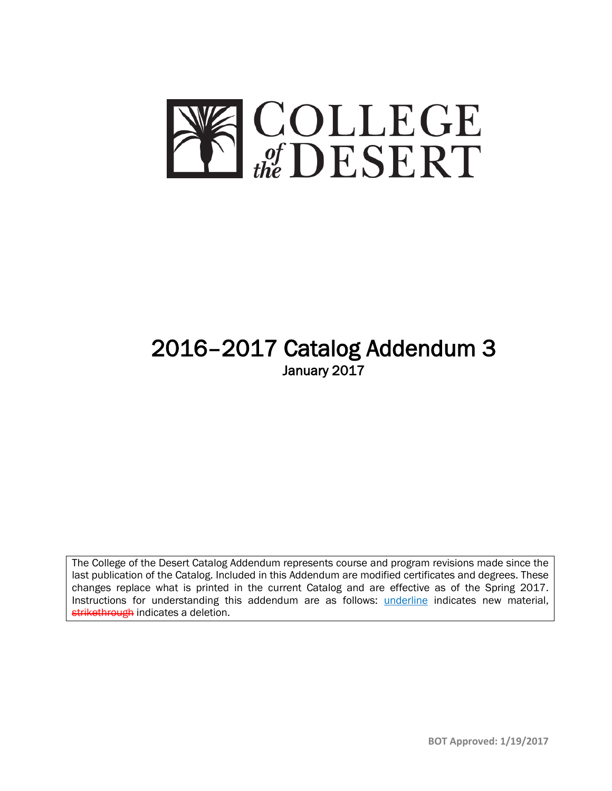

# 2016–2017 Catalog Addendum 3 January 2017

The College of the Desert Catalog Addendum represents course and program revisions made since the last publication of the Catalog. Included in this Addendum are modified certificates and degrees. These changes replace what is printed in the current Catalog and are effective as of the Spring 2017. Instructions for understanding this addendum are as follows: underline indicates new material, strikethrough indicates a deletion.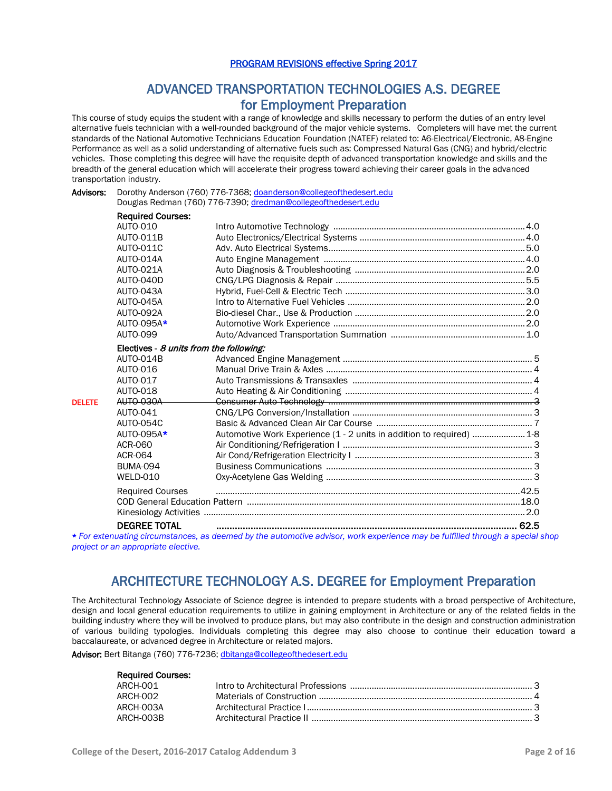### PROGRAM REVISIONS effective Spring 2017

## ADVANCED TRANSPORTATION TECHNOLOGIES A.S. DEGREE **for Employment Preparation**<br>This course of study equips the student with a range of knowledge and skills necessary to perform the duties of an entry level

alternative fuels technician with a well-rounded background of the major vehicle systems. Completers will have met the current standards of the National Automotive Technicians Education Foundation (NATEF) related to: A6-Electrical/Electronic, A8-Engine Performance as well as a solid understanding of alternative fuels such as: Compressed Natural Gas (CNG) and hybrid/electric vehicles. Those completing this degree will have the requisite depth of advanced transportation knowledge and skills and the breadth of the general education which will accelerate their progress toward achieving their career goals in the advanced transportation industry.

| Advisors: | Dorothy Anderson (760) 776-7368; doanderson@collegeofthedesert.edu |
|-----------|--------------------------------------------------------------------|
|           | Douglas Redman (760) 776-7390; dredman@collegeofthedesert.edu      |

|               | <b>Required Courses:</b>                |                                                                                                                                                                                                                                |  |
|---------------|-----------------------------------------|--------------------------------------------------------------------------------------------------------------------------------------------------------------------------------------------------------------------------------|--|
|               | <b>AUTO-010</b>                         |                                                                                                                                                                                                                                |  |
|               | <b>AUTO-011B</b>                        |                                                                                                                                                                                                                                |  |
|               | <b>AUTO-011C</b>                        |                                                                                                                                                                                                                                |  |
|               | AUTO-014A                               |                                                                                                                                                                                                                                |  |
|               | <b>AUTO-021A</b>                        |                                                                                                                                                                                                                                |  |
|               | AUTO-040D                               |                                                                                                                                                                                                                                |  |
|               | AUTO-043A                               |                                                                                                                                                                                                                                |  |
|               | AUTO-045A                               |                                                                                                                                                                                                                                |  |
|               | AUTO-092A                               |                                                                                                                                                                                                                                |  |
|               | AUTO-095A*                              |                                                                                                                                                                                                                                |  |
|               | <b>AUTO-099</b>                         |                                                                                                                                                                                                                                |  |
|               | Electives - 8 units from the following: |                                                                                                                                                                                                                                |  |
|               | AUTO-014B                               |                                                                                                                                                                                                                                |  |
|               | <b>AUTO-016</b>                         |                                                                                                                                                                                                                                |  |
|               | AUTO-017                                |                                                                                                                                                                                                                                |  |
|               | <b>AUTO-018</b>                         |                                                                                                                                                                                                                                |  |
| <b>DELETE</b> | AUTO-030A                               |                                                                                                                                                                                                                                |  |
|               | AUTO-041                                |                                                                                                                                                                                                                                |  |
|               | <b>AUTO-054C</b>                        |                                                                                                                                                                                                                                |  |
|               | AUTO-095A*                              | Automotive Work Experience (1 - 2 units in addition to required)  1-8                                                                                                                                                          |  |
|               | ACR-060                                 |                                                                                                                                                                                                                                |  |
|               | ACR-064                                 |                                                                                                                                                                                                                                |  |
|               | <b>BUMA-094</b>                         |                                                                                                                                                                                                                                |  |
|               | WELD-010                                |                                                                                                                                                                                                                                |  |
|               | <b>Required Courses</b>                 |                                                                                                                                                                                                                                |  |
|               |                                         |                                                                                                                                                                                                                                |  |
|               |                                         |                                                                                                                                                                                                                                |  |
|               | <b>DEGREE TOTAL</b>                     |                                                                                                                                                                                                                                |  |
|               |                                         | and the consist to interest and result of the construction of the construction of the Content of the construction of the construction of the construction of the construction of the construction of the construction of the c |  |

\* *For extenuating circumstances, as deemed by the automotive advisor, work experience may be fulfilled through a special shop project or an appropriate elective.*

### ARCHITECTURE TECHNOLOGY A.S. DEGREE for Employment Preparation

The Architectural Technology Associate of Science degree is intended to prepare students with a broad perspective of Architecture, design and local general education requirements to utilize in gaining employment in Architecture or any of the related fields in the building industry where they will be involved to produce plans, but may also contribute in the design and construction administration of various building typologies. Individuals completing this degree may also choose to continue their education toward a baccalaureate, or advanced degree in Architecture or related majors.

Advisor: Bert Bitanga (760) 776-7236[; dbitanga@collegeofthedesert.edu](mailto:dbitanga@collegeofthedesert.edu)

| <b>Required Courses:</b><br>ARCH-001 |  |
|--------------------------------------|--|
| ARCH-002                             |  |
| ARCH-003A                            |  |
| ARCH-003B                            |  |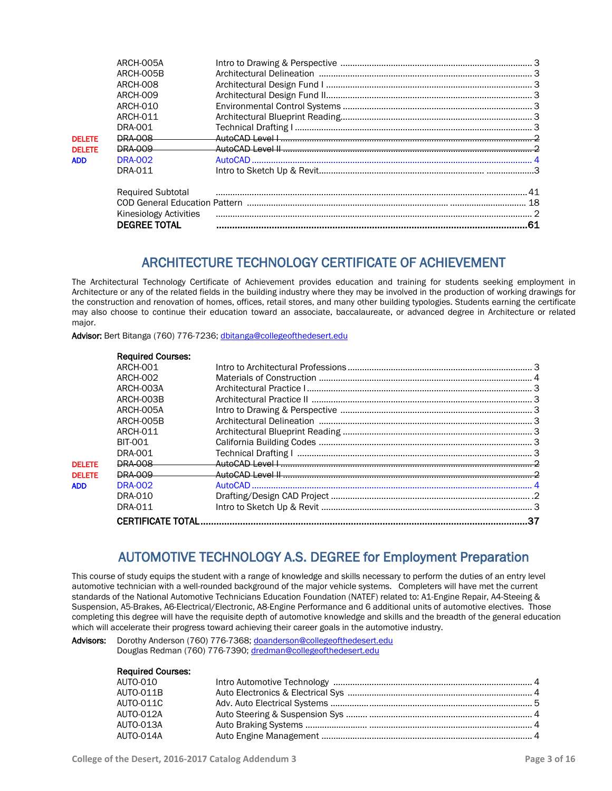|               | ARCH-005A<br>ARCH-005B<br><b>ARCH-008</b><br><b>ARCH-009</b><br><b>ARCH-010</b><br>ARCH-011 |                                                                                                                |     |
|---------------|---------------------------------------------------------------------------------------------|----------------------------------------------------------------------------------------------------------------|-----|
|               | DRA-001                                                                                     |                                                                                                                |     |
| <b>DELETE</b> | <b>DRA 008</b>                                                                              |                                                                                                                |     |
| <b>DELETE</b> | <b>DRA 009</b>                                                                              |                                                                                                                |     |
| <b>ADD</b>    | <b>DRA-002</b>                                                                              |                                                                                                                |     |
|               | DRA-011                                                                                     |                                                                                                                |     |
|               | <b>Required Subtotal</b>                                                                    |                                                                                                                | .41 |
|               |                                                                                             | COD General Education Pattern (1111) (111) (121) (2012) (2012) (2013) (2013) (2013) (2013) (2014) (2014) (2014 | 18  |
|               | <b>Kinesiology Activities</b>                                                               |                                                                                                                |     |
|               | <b>DEGREE TOTAL</b>                                                                         |                                                                                                                |     |
|               |                                                                                             |                                                                                                                |     |

### ARCHITECTURE TECHNOLOGY CERTIFICATE OF ACHIEVEMENT

The Architectural Technology Certificate of Achievement provides education and training for students seeking employment in Architecture or any of the related fields in the building industry where they may be involved in the production of working drawings for the construction and renovation of homes, offices, retail stores, and many other building typologies. Students earning the certificate may also choose to continue their education toward an associate, baccalaureate, or advanced degree in Architecture or related major.

Advisor: Bert Bitanga (760) 776-7236[; dbitanga@collegeofthedesert.edu](mailto:dbitanga@collegeofthedesert.edu)

|               | <b>Required Courses:</b> |    |
|---------------|--------------------------|----|
|               | ARCH-001                 |    |
|               | <b>ARCH-002</b>          |    |
|               | ARCH-003A                |    |
|               | ARCH-003B                |    |
|               | ARCH-005A                |    |
|               | ARCH-005B                |    |
|               | ARCH-011                 |    |
|               | <b>BIT-001</b>           |    |
|               | DRA-001                  |    |
| <b>DELETE</b> | <b>DRA 008</b>           |    |
| <b>DELETE</b> | <b>DRA 009</b>           |    |
| ADD           | <b>DRA-002</b>           |    |
|               | DRA-010                  |    |
|               | DRA-011                  |    |
|               |                          | 37 |

### AUTOMOTIVE TECHNOLOGY A.S. DEGREE for Employment Preparation

This course of study equips the student with a range of knowledge and skills necessary to perform the duties of an entry level automotive technician with a well-rounded background of the major vehicle systems. Completers will have met the current standards of the National Automotive Technicians Education Foundation (NATEF) related to: A1-Engine Repair, A4-Steeing & Suspension, A5-Brakes, A6-Electrical/Electronic, A8-Engine Performance and 6 additional units of automotive electives. Those completing this degree will have the requisite depth of automotive knowledge and skills and the breadth of the general education which will accelerate their progress toward achieving their career goals in the automotive industry.

### Advisors: Dorothy Anderson (760) 776-7368; [doanderson@collegeofthedesert.edu](mailto:doanderson@collegeofthedesert.edu) Douglas Redman (760) 776-7390[; dredman@collegeofthedesert.edu](mailto:dredman@collegeofthedesert.edu)

| <b>Required Courses:</b> |  |
|--------------------------|--|
| AUTO-010                 |  |
| <b>AUTO-011B</b>         |  |
| <b>AUTO-011C</b>         |  |
| <b>AUTO-012A</b>         |  |
| AUTO-013A                |  |
| AUTO-014A                |  |
|                          |  |

Required Courses: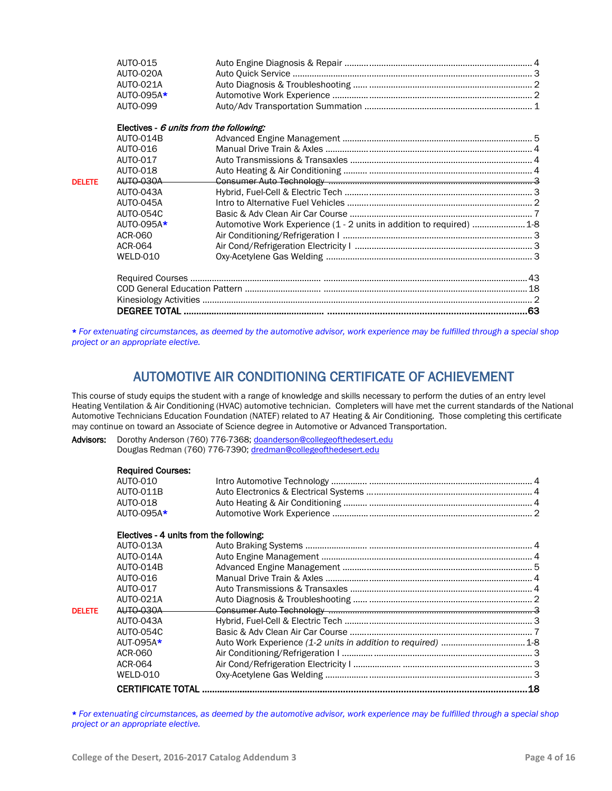|               | AUTO-015<br>AUTO-020A<br><b>AUTO-021A</b><br>AUTO-095A*<br><b>AUTO-099</b> |                                                                       |  |
|---------------|----------------------------------------------------------------------------|-----------------------------------------------------------------------|--|
|               | Electives - 6 units from the following:                                    |                                                                       |  |
|               | AUTO-014B                                                                  |                                                                       |  |
|               | AUTO-016                                                                   |                                                                       |  |
|               | AUTO-017                                                                   |                                                                       |  |
|               | <b>AUTO-018</b>                                                            |                                                                       |  |
| <b>DELETE</b> | <b>AUTO 030A</b>                                                           |                                                                       |  |
|               | AUTO-043A                                                                  |                                                                       |  |
|               | AUTO-045A                                                                  |                                                                       |  |
|               | AUTO-054C                                                                  |                                                                       |  |
|               | AUTO-095A*                                                                 | Automotive Work Experience (1 - 2 units in addition to required)  1-8 |  |
|               | ACR-060                                                                    |                                                                       |  |
|               | ACR-064                                                                    |                                                                       |  |
|               | WELD-010                                                                   |                                                                       |  |
|               |                                                                            |                                                                       |  |

\* *For extenuating circumstances, as deemed by the automotive advisor, work experience may be fulfilled through a special shop project or an appropriate elective.*

### AUTOMOTIVE AIR CONDITIONING CERTIFICATE OF ACHIEVEMENT

This course of study equips the student with a range of knowledge and skills necessary to perform the duties of an entry level Heating Ventilation & Air Conditioning (HVAC) automotive technician. Completers will have met the current standards of the National Automotive Technicians Education Foundation (NATEF) related to A7 Heating & Air Conditioning. Those completing this certificate may continue on toward an Associate of Science degree in Automotive or Advanced Transportation.

Advisors: Dorothy Anderson (760) 776-7368; [doanderson@collegeofthedesert.edu](mailto:doanderson@collegeofthedesert.edu) Douglas Redman (760) 776-7390[; dredman@collegeofthedesert.edu](mailto:dredman@collegeofthedesert.edu)

|               | <b>Required Courses:</b><br><b>AUTO-010</b><br><b>AUTO-011B</b><br><b>AUTO-018</b><br>AUTO-095A* |    |
|---------------|--------------------------------------------------------------------------------------------------|----|
|               | Electives - 4 units from the following:                                                          |    |
|               | AUTO-013A                                                                                        |    |
|               | AUTO-014A                                                                                        |    |
|               | <b>AUTO-014B</b>                                                                                 |    |
|               | AUTO-016                                                                                         |    |
|               | AUTO-017                                                                                         |    |
|               | <b>AUTO-021A</b>                                                                                 |    |
| <b>DELETE</b> | <b>AUTO 030A</b>                                                                                 |    |
|               | AUTO-043A                                                                                        |    |
|               | AUTO-054C                                                                                        |    |
|               | $AUT-095A*$                                                                                      |    |
|               | ACR-060                                                                                          |    |
|               | ACR-064                                                                                          |    |
|               | <b>WFI D-010</b>                                                                                 |    |
|               | <b>CERTIFICATE TOTAL</b>                                                                         | 18 |
|               |                                                                                                  |    |

\* *For extenuating circumstances, as deemed by the automotive advisor, work experience may be fulfilled through a special shop project or an appropriate elective.*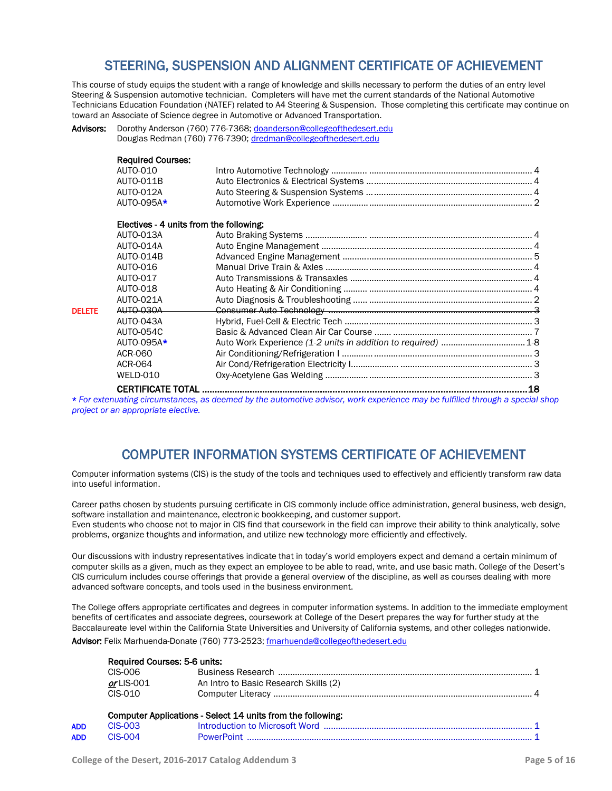### STEERING, SUSPENSION AND ALIGNMENT CERTIFICATE OF ACHIEVEMENT

This course of study equips the student with a range of knowledge and skills necessary to perform the duties of an entry level Steering & Suspension automotive technician. Completers will have met the current standards of the National Automotive Technicians Education Foundation (NATEF) related to A4 Steering & Suspension. Those completing this certificate may continue on toward an Associate of Science degree in Automotive or Advanced Transportation.

| Advisors: | Dorothy Anderson (760) 776-7368; doanderson@collegeofthedesert.edu |
|-----------|--------------------------------------------------------------------|
|           | Douglas Redman (760) 776-7390; dredman@collegeofthedesert.edu      |

|               | <b>Required Courses:</b>                |                                                               |    |
|---------------|-----------------------------------------|---------------------------------------------------------------|----|
|               | AUTO-010                                |                                                               |    |
|               | <b>AUTO-011B</b>                        |                                                               |    |
|               | <b>AUTO-012A</b>                        |                                                               |    |
|               | AUTO-095A*                              |                                                               |    |
|               | Electives - 4 units from the following: |                                                               |    |
|               | AUTO-013A                               |                                                               |    |
|               | AUTO-014A                               |                                                               |    |
|               | <b>AUTO-014B</b>                        |                                                               |    |
|               | AUTO-016                                |                                                               |    |
|               | AUTO-017                                |                                                               |    |
|               | <b>AUTO-018</b>                         |                                                               |    |
|               | <b>AUTO-021A</b>                        |                                                               |    |
| <b>DELETE</b> | <b>AUTO 030A</b>                        |                                                               |    |
|               | AUTO-043A                               |                                                               |    |
|               | <b>AUTO-054C</b>                        |                                                               |    |
|               | AUTO-095A*                              | Auto Work Experience (1-2 units in addition to required)  1-8 |    |
|               | ACR-060                                 |                                                               |    |
|               | ACR-064                                 |                                                               |    |
|               | WELD-010                                |                                                               |    |
|               |                                         |                                                               | 18 |

\* *For extenuating circumstances, as deemed by the automotive advisor, work experience may be fulfilled through a special shop project or an appropriate elective.*

### COMPUTER INFORMATION SYSTEMS CERTIFICATE OF ACHIEVEMENT

Computer information systems (CIS) is the study of the tools and techniques used to effectively and efficiently transform raw data into useful information.

Career paths chosen by students pursuing certificate in CIS commonly include office administration, general business, web design, software installation and maintenance, electronic bookkeeping, and customer support.

Even students who choose not to major in CIS find that coursework in the field can improve their ability to think analytically, solve problems, organize thoughts and information, and utilize new technology more efficiently and effectively.

Our discussions with industry representatives indicate that in today's world employers expect and demand a certain minimum of computer skills as a given, much as they expect an employee to be able to read, write, and use basic math. College of the Desert's CIS curriculum includes course offerings that provide a general overview of the discipline, as well as courses dealing with more advanced software concepts, and tools used in the business environment.

The College offers appropriate certificates and degrees in computer information systems. In addition to the immediate employment benefits of certificates and associate degrees, coursework at College of the Desert prepares the way for further study at the Baccalaureate level within the California State Universities and University of California systems, and other colleges nationwide.

Advisor: Felix Marhuenda-Donate (760) 773-2523[; fmarhuenda@collegeofthedesert.edu](mailto:fmarhuenda@collegeofthedesert.edu)

|            | Required Courses: 5-6 units: |                                                             |  |
|------------|------------------------------|-------------------------------------------------------------|--|
|            | CIS-006                      |                                                             |  |
|            | $or$ LIS-001                 | An Intro to Basic Research Skills (2)                       |  |
|            | CIS-010                      |                                                             |  |
|            |                              | Computer Applications - Select 14 units from the following: |  |
| <b>ADD</b> | $CIS-003$                    |                                                             |  |
| <b>ADD</b> | $CIS-004$                    |                                                             |  |
|            |                              |                                                             |  |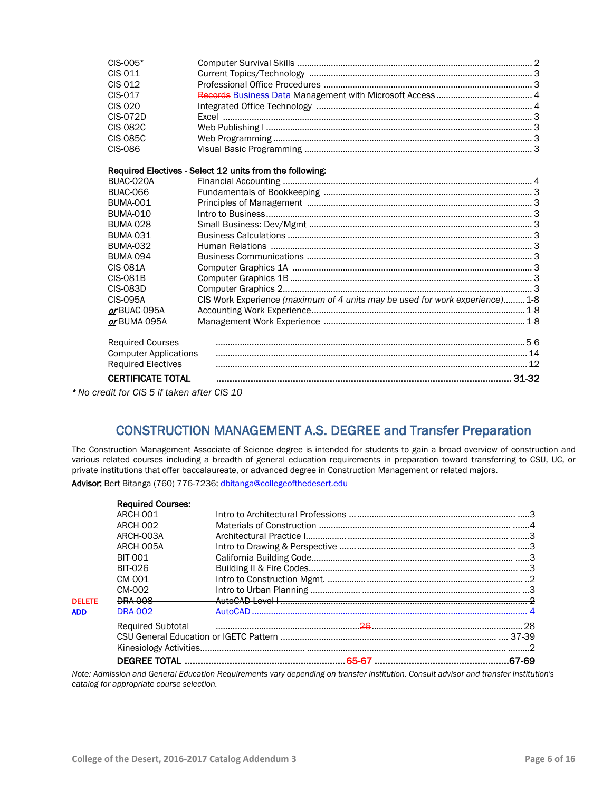| CIS-005*                                         |                                                                              |  |
|--------------------------------------------------|------------------------------------------------------------------------------|--|
| CIS-011                                          |                                                                              |  |
| CIS-012                                          |                                                                              |  |
| CIS-017                                          |                                                                              |  |
| CIS-020                                          |                                                                              |  |
| <b>CIS-072D</b>                                  |                                                                              |  |
| <b>CIS-082C</b>                                  |                                                                              |  |
| <b>CIS-085C</b>                                  |                                                                              |  |
| CIS-086                                          |                                                                              |  |
|                                                  | Required Electives - Select 12 units from the following:                     |  |
| BUAC-020A                                        |                                                                              |  |
| <b>BUAC-066</b>                                  |                                                                              |  |
| <b>BUMA-001</b>                                  |                                                                              |  |
| <b>BUMA-010</b>                                  |                                                                              |  |
| <b>BUMA-028</b>                                  |                                                                              |  |
| <b>BUMA-031</b>                                  |                                                                              |  |
| <b>BUMA-032</b>                                  |                                                                              |  |
| <b>BUMA-094</b>                                  |                                                                              |  |
| <b>CIS-081A</b>                                  |                                                                              |  |
| <b>CIS-081B</b>                                  |                                                                              |  |
| <b>CIS-083D</b>                                  |                                                                              |  |
| CIS-095A                                         | CIS Work Experience (maximum of 4 units may be used for work experience) 1-8 |  |
| or BUAC-095A                                     |                                                                              |  |
| or BUMA-095A                                     |                                                                              |  |
| <b>Required Courses</b>                          |                                                                              |  |
| <b>Computer Applications</b>                     |                                                                              |  |
| <b>Required Electives</b>                        |                                                                              |  |
| <b>CERTIFICATE TOTAL</b>                         |                                                                              |  |
| $*$ No aradit for CIC $E$ if to kep ofter CIC 10 |                                                                              |  |

\* *No credit for CIS 5 if taken after CIS 10*

### CONSTRUCTION MANAGEMENT A.S. DEGREE and Transfer Preparation

The Construction Management Associate of Science degree is intended for students to gain a broad overview of construction and various related courses including a breadth of general education requirements in preparation toward transferring to CSU, UC, or private institutions that offer baccalaureate, or advanced degree in Construction Management or related majors.

Advisor: Bert Bitanga (760) 776-7236[; dbitanga@collegeofthedesert.edu](mailto:dbitanga@collegeofthedesert.edu)

|               | <b>Required Courses:</b> |                                                                                                                       |  |
|---------------|--------------------------|-----------------------------------------------------------------------------------------------------------------------|--|
|               | ARCH-001                 |                                                                                                                       |  |
|               | <b>ARCH-002</b>          |                                                                                                                       |  |
|               | ARCH-003A                |                                                                                                                       |  |
|               | ARCH-005A                |                                                                                                                       |  |
|               | <b>BIT-001</b>           |                                                                                                                       |  |
|               | <b>BIT-026</b>           |                                                                                                                       |  |
|               | CM-001                   |                                                                                                                       |  |
|               | CM-002                   |                                                                                                                       |  |
| <b>DELETE</b> | <b>DRA 008</b>           |                                                                                                                       |  |
| <b>ADD</b>    | DRA-002                  |                                                                                                                       |  |
|               |                          | Required Subtotal <b>Contract Contract Contract Contract Contract Contract Contract Contract Contract Contract Co</b> |  |
|               |                          |                                                                                                                       |  |
|               |                          |                                                                                                                       |  |
|               |                          |                                                                                                                       |  |

*Note: Admission and General Education Requirements vary depending on transfer institution. Consult advisor and transfer institution's catalog for appropriate course selection.*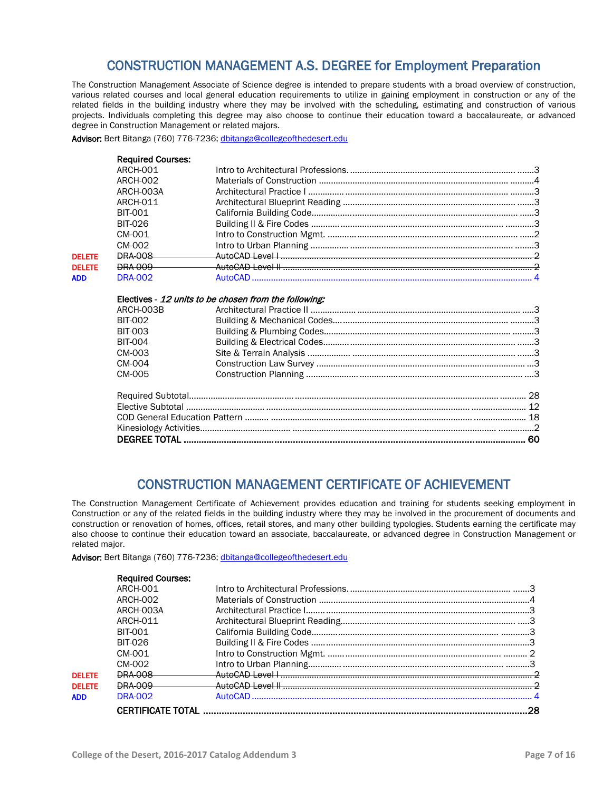### CONSTRUCTION MANAGEMENT A.S. DEGREE for Employment Preparation

The Construction Management Associate of Science degree is intended to prepare students with a broad overview of construction, various related courses and local general education requirements to utilize in gaining employment in construction or any of the related fields in the building industry where they may be involved with the scheduling, estimating and construction of various projects. Individuals completing this degree may also choose to continue their education toward a baccalaureate, or advanced degree in Construction Management or related majors.

Advisor: Bert Bitanga (760) 776-7236[; dbitanga@collegeofthedesert.edu](mailto:dbitanga@collegeofthedesert.edu)

|               | <b>Required Courses:</b> |                                                       |  |
|---------------|--------------------------|-------------------------------------------------------|--|
|               | <b>ARCH-001</b>          |                                                       |  |
|               | ARCH-002                 |                                                       |  |
|               | ARCH-003A                |                                                       |  |
|               | ARCH-011                 |                                                       |  |
|               | <b>BIT-001</b>           |                                                       |  |
|               | <b>BIT-026</b>           |                                                       |  |
|               | CM-001                   |                                                       |  |
|               | CM-002                   |                                                       |  |
| <b>DELETE</b> | <b>DRA 008</b>           |                                                       |  |
| <b>DELETE</b> | <b>DRA 009</b>           |                                                       |  |
| <b>ADD</b>    | <b>DRA-002</b>           |                                                       |  |
|               |                          | Electives - 12 units to be chosen from the following: |  |
|               | ARCH-003B                |                                                       |  |
|               | <b>BIT-002</b>           |                                                       |  |
|               | <b>BIT-003</b>           |                                                       |  |
|               | <b>BIT-004</b>           |                                                       |  |
|               | CM-003                   |                                                       |  |
|               | CM-004                   |                                                       |  |
|               | CM-005                   |                                                       |  |
|               |                          |                                                       |  |
|               |                          |                                                       |  |
|               |                          |                                                       |  |
|               |                          |                                                       |  |
|               |                          |                                                       |  |
|               |                          |                                                       |  |

### CONSTRUCTION MANAGEMENT CERTIFICATE OF ACHIEVEMENT

The Construction Management Certificate of Achievement provides education and training for students seeking employment in Construction or any of the related fields in the building industry where they may be involved in the procurement of documents and construction or renovation of homes, offices, retail stores, and many other building typologies. Students earning the certificate may also choose to continue their education toward an associate, baccalaureate, or advanced degree in Construction Management or related major.

Advisor: Bert Bitanga (760) 776-7236[; dbitanga@collegeofthedesert.edu](mailto:dbitanga@collegeofthedesert.edu)

|               | <b>Required Courses:</b> |  |
|---------------|--------------------------|--|
|               | ARCH-001                 |  |
|               | <b>ARCH-002</b>          |  |
|               | ARCH-003A                |  |
|               | ARCH-011                 |  |
|               | <b>BIT-001</b>           |  |
|               | <b>BIT-026</b>           |  |
|               | CM-001                   |  |
|               | CM-002                   |  |
| <b>DELETE</b> | <b>DRA 008</b>           |  |
| <b>DELETE</b> | DRA-009                  |  |
| <b>ADD</b>    | <b>DRA-002</b>           |  |
|               |                          |  |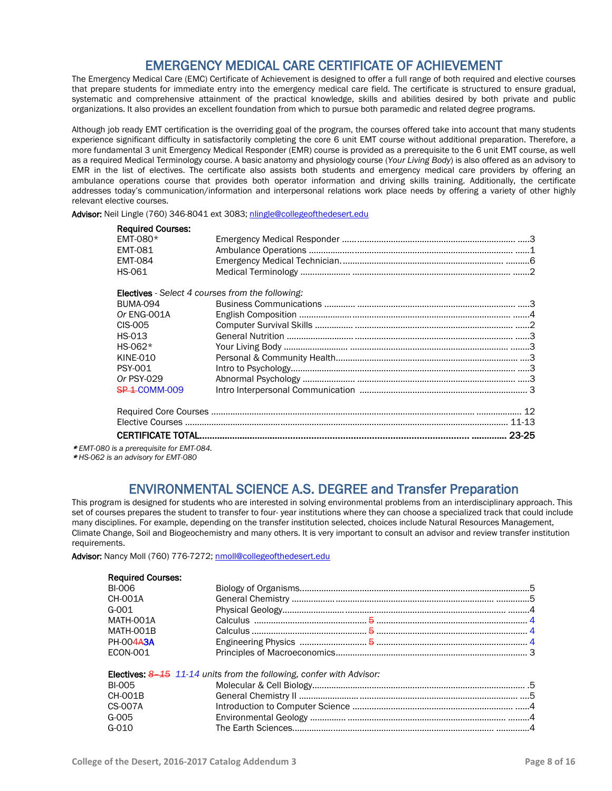## **EMERGENCY MEDICAL CARE CERTIFICATE OF ACHIEVEMENT**<br>The Emergency Medical Care (EMC) Certificate of Achievement is designed to offer a full range of both required and elective courses

that prepare students for immediate entry into the emergency medical care field. The certificate is structured to ensure gradual, systematic and comprehensive attainment of the practical knowledge, skills and abilities desired by both private and public organizations. It also provides an excellent foundation from which to pursue both paramedic and related degree programs.

Although job ready EMT certification is the overriding goal of the program, the courses offered take into account that many students experience significant difficulty in satisfactorily completing the core 6 unit EMT course without additional preparation. Therefore, a more fundamental 3 unit Emergency Medical Responder (EMR) course is provided as a prerequisite to the 6 unit EMT course, as well as a required Medical Terminology course. A basic anatomy and physiology course (*Your Living Body*) is also offered as an advisory to EMR in the list of electives. The certificate also assists both students and emergency medical care providers by offering an ambulance operations course that provides both operator information and driving skills training. Additionally, the certificate addresses today's communication/information and interpersonal relations work place needs by offering a variety of other highly relevant elective courses.

Advisor: Neil Lingle (760) 346-8041 ext 3083; [nlingle@collegeofthedesert.edu](mailto:nlingle@collegeofthedesert.edu)

| <b>Required Courses:</b> |                                                         |  |
|--------------------------|---------------------------------------------------------|--|
| EMT-080 $*$              |                                                         |  |
| <b>EMT-081</b>           |                                                         |  |
| <b>EMT-084</b>           |                                                         |  |
| HS-061                   |                                                         |  |
|                          | <b>Electives</b> - Select 4 courses from the following: |  |
| <b>BUMA-094</b>          |                                                         |  |
| Or ENG-001A              |                                                         |  |
| CIS-005                  |                                                         |  |
| HS-013                   |                                                         |  |
| $HS-062*$                |                                                         |  |
| <b>KINE-010</b>          |                                                         |  |
| <b>PSY-001</b>           |                                                         |  |
| Or PSY-029               |                                                         |  |
| <b>SP 1-COMM-009</b>     |                                                         |  |
|                          |                                                         |  |
|                          |                                                         |  |
|                          |                                                         |  |

\* *EMT-080 is a prerequisite for EMT-084.*

\* *HS-062 is an advisory for EMT-080*

## ENVIRONMENTAL SCIENCE A.S. DEGREE and Transfer Preparation<br>This program is designed for students who are interested in solving environmental problems from an interdisciplinary approach. This

set of courses prepares the student to transfer to four- year institutions where they can choose a specialized track that could include many disciplines. For example, depending on the transfer institution selected, choices include Natural Resources Management, Climate Change, Soil and Biogeochemistry and many others. It is very important to consult an advisor and review transfer institution requirements.

Advisor: Nancy Moll (760) 776-7272[; nmoll@collegeofthedesert.edu](mailto:nmoll@collegeofthedesert.edu)

|  | <b>Electives: 8-15 11-14 units from the following, confer with Advisor:</b> |
|--|-----------------------------------------------------------------------------|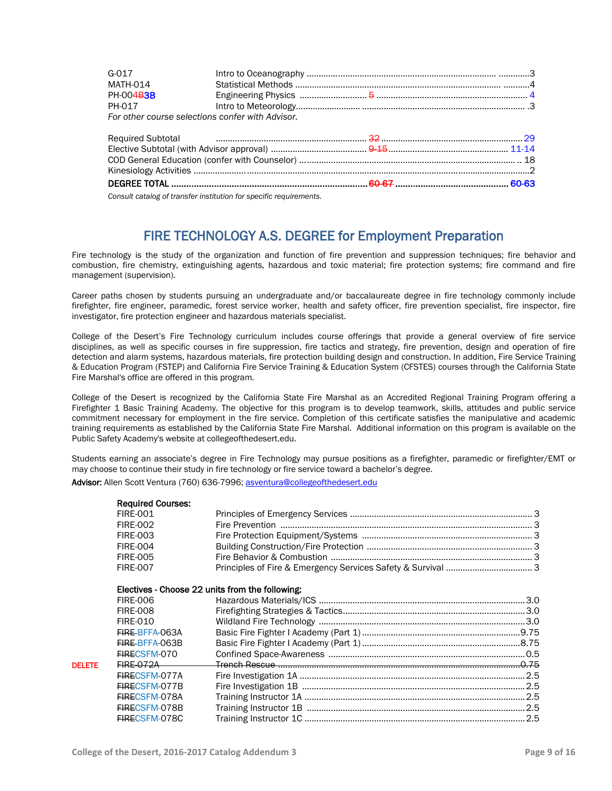| $G - 017$                                        |  |  |
|--------------------------------------------------|--|--|
| <b>MATH-014</b>                                  |  |  |
| PH-004B3B                                        |  |  |
| PH-017                                           |  |  |
| For other course selections confer with Advisor. |  |  |
|                                                  |  |  |
|                                                  |  |  |
|                                                  |  |  |
|                                                  |  |  |
|                                                  |  |  |
|                                                  |  |  |

*Consult catalog of transfer institution for specific requirements.*

### FIRE TECHNOLOGY A.S. DEGREE for Employment Preparation

Fire technology is the study of the organization and function of fire prevention and suppression techniques; fire behavior and combustion, fire chemistry, extinguishing agents, hazardous and toxic material; fire protection systems; fire command and fire management (supervision).

Career paths chosen by students pursuing an undergraduate and/or baccalaureate degree in fire technology commonly include firefighter, fire engineer, paramedic, forest service worker, health and safety officer, fire prevention specialist, fire inspector, fire investigator, fire protection engineer and hazardous materials specialist.

College of the Desert's Fire Technology curriculum includes course offerings that provide a general overview of fire service disciplines, as well as specific courses in fire suppression, fire tactics and strategy, fire prevention, design and operation of fire detection and alarm systems, hazardous materials, fire protection building design and construction. In addition, Fire Service Training & Education Program (FSTEP) and California Fire Service Training & Education System (CFSTES) courses through the California State Fire Marshal's office are offered in this program.

College of the Desert is recognized by the California State Fire Marshal as an Accredited Regional Training Program offering a Firefighter 1 Basic Training Academy. The objective for this program is to develop teamwork, skills, attitudes and public service commitment necessary for employment in the fire service. Completion of this certificate satisfies the manipulative and academic training requirements as established by the California State Fire Marshal. Additional information on this program is available on the Public Safety Academy's website at collegeofthedesert.edu.

Students earning an associate's degree in Fire Technology may pursue positions as a firefighter, paramedic or firefighter/EMT or may choose to continue their study in fire technology or fire service toward a bachelor's degree.

Advisor: Allen Scott Ventura (760) 636-7996; [asventura@collegeofthedesert.edu](mailto:asventura@collegeofthedesert.edu)

|               | <b>Required Courses:</b> |                                                            |  |
|---------------|--------------------------|------------------------------------------------------------|--|
|               | <b>FIRE-001</b>          |                                                            |  |
|               | <b>FIRE-002</b>          |                                                            |  |
|               | <b>FIRE-003</b>          |                                                            |  |
|               | <b>FIRE-004</b>          |                                                            |  |
|               | <b>FIRE-005</b>          |                                                            |  |
|               | <b>FIRE-007</b>          |                                                            |  |
|               |                          | Electives - Choose 22 units from the following:            |  |
|               | <b>FIRE-006</b>          |                                                            |  |
|               | <b>FIRE-008</b>          |                                                            |  |
|               | <b>FIRE-010</b>          |                                                            |  |
|               | FIRE BFFA-063A           |                                                            |  |
|               | FIRE-BFFA-063B           |                                                            |  |
|               | FIRECSFM-070             |                                                            |  |
| <b>DELETE</b> | <b>FIRE-072A</b>         | <u>Trench Rescue ………………………………………………………………………………………0.75</u> |  |
|               | <b>FIRECSFM-077A</b>     |                                                            |  |
|               | FIRECSFM-077B            |                                                            |  |
|               | FIRECSFM-078A            |                                                            |  |
|               | FIRECSFM-078B            |                                                            |  |
|               | FIRECSFM-078C            |                                                            |  |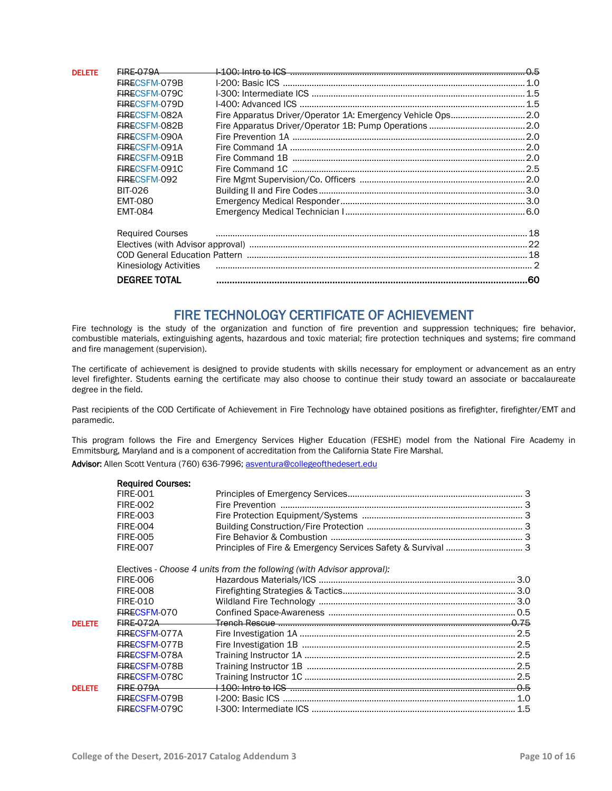| <b>DELETE</b> | $EIRE-079A$                   |                                                              | 0.5 |
|---------------|-------------------------------|--------------------------------------------------------------|-----|
|               | FIRECSFM-079B                 |                                                              |     |
|               | FIRECSFM-079C                 |                                                              |     |
|               | FIRECSEM-079D                 |                                                              |     |
|               | FIRECSFM-082A                 | Fire Apparatus Driver/Operator 1A: Emergency Vehicle Ops 2.0 |     |
|               | <b>FIRECSEM-082B</b>          |                                                              |     |
|               | FIRECSFM-090A                 |                                                              |     |
|               | FIRECSFM-091A                 |                                                              |     |
|               | FIRECSFM-091B                 |                                                              |     |
|               | FIRECSFM-091C                 |                                                              |     |
|               | FIRECSFM-092                  |                                                              |     |
|               | <b>BIT-026</b>                |                                                              |     |
|               | <b>EMT-080</b>                |                                                              |     |
|               | <b>EMT-084</b>                |                                                              |     |
|               | <b>Required Courses</b>       |                                                              |     |
|               |                               |                                                              |     |
|               |                               |                                                              |     |
|               | <b>Kinesiology Activities</b> |                                                              |     |
|               | <b>DEGREE TOTAL</b>           |                                                              |     |

FIRE TECHNOLOGY CERTIFICATE OF ACHIEVEMENT<br>Fire technology is the study of the organization and function of fire prevention and suppression techniques; fire behavior, combustible materials, extinguishing agents, hazardous and toxic material; fire protection techniques and systems; fire command and fire management (supervision).

The certificate of achievement is designed to provide students with skills necessary for employment or advancement as an entry level firefighter. Students earning the certificate may also choose to continue their study toward an associate or baccalaureate degree in the field.

Past recipients of the COD Certificate of Achievement in Fire Technology have obtained positions as firefighter, firefighter/EMT and paramedic.

This program follows the Fire and Emergency Services Higher Education (FESHE) model from the National Fire Academy in Emmitsburg, Maryland and is a component of accreditation from the California State Fire Marshal. Advisor: Allen Scott Ventura (760) 636-7996; [asventura@collegeofthedesert.edu](mailto:asventura@collegeofthedesert.edu)

|               | <b>Required Courses:</b> |                                                                        |  |
|---------------|--------------------------|------------------------------------------------------------------------|--|
|               | <b>FIRE-001</b>          |                                                                        |  |
|               | <b>FIRE-002</b>          |                                                                        |  |
|               | <b>FIRE-003</b>          |                                                                        |  |
|               | <b>FIRE-004</b>          |                                                                        |  |
|               | <b>FIRE-005</b>          |                                                                        |  |
|               | <b>FIRE-007</b>          |                                                                        |  |
|               |                          | Electives - Choose 4 units from the following (with Advisor approval): |  |
|               | <b>FIRE-006</b>          |                                                                        |  |
|               | <b>FIRE-008</b>          |                                                                        |  |
|               | <b>FIRE-010</b>          |                                                                        |  |
|               | FIRECSFM-070             |                                                                        |  |
| <b>DELETE</b> | <b>FIRE 072A</b>         |                                                                        |  |
|               | FIRECSFM-077A            |                                                                        |  |
|               | FIRECSFM-077B            |                                                                        |  |
|               | <b>FIRECSFM-078A</b>     |                                                                        |  |
|               | FIRECSFM-078B            |                                                                        |  |
|               | FIRECSFM-078C            |                                                                        |  |
| <b>DELETE</b> | <b>EIRE-079A</b>         |                                                                        |  |
|               | FIRECSFM-079B            |                                                                        |  |
|               | FIRECSFM-079C            |                                                                        |  |
|               |                          |                                                                        |  |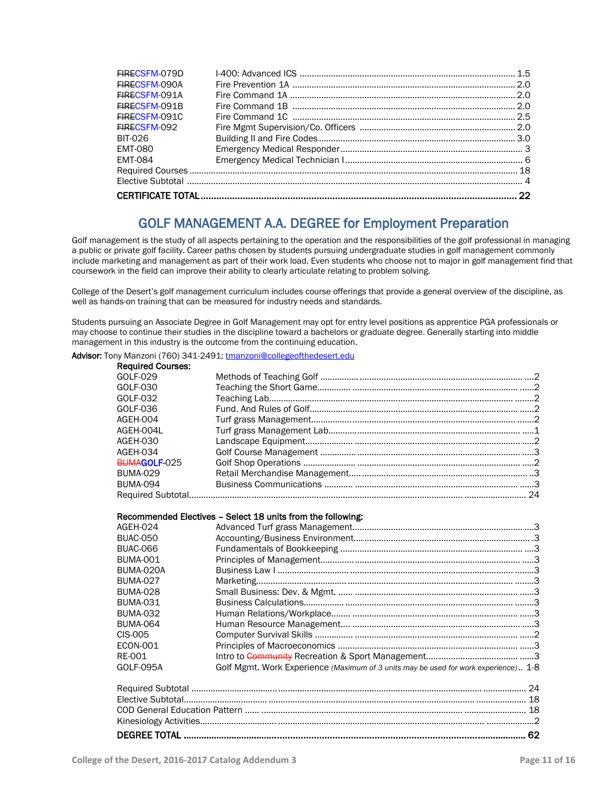| EIRECSEM-079D  |    |
|----------------|----|
| EIRECSEM-090A  |    |
| EIRECSEM-091A  |    |
| EIRECSEM-091B  |    |
| EIRECSFM-091C  |    |
| FIRECSEM-092   |    |
| BIT-026        |    |
| <b>EMT-080</b> |    |
| <b>EMT-084</b> |    |
|                |    |
|                |    |
|                | 22 |
|                |    |

### GOLF MANAGEMENT A.A. DEGREE for Employment Preparation

Golf management is the study of all aspects pertaining to the operation and the responsibilities of the golf professional in managing a public or private golf facility. Career paths chosen by students pursuing undergraduate studies in golf management commonly include marketing and management as part of their work load. Even students who choose not to major in golf management find that coursework in the field can improve their ability to clearly articulate relating to problem solving.

College of the Desert's golf management curriculum includes course offerings that provide a general overview of the discipline, as well as hands-on training that can be measured for industry needs and standards.

Students pursuing an Associate Degree in Golf Management may opt for entry level positions as apprentice PGA professionals or may choose to continue their studies in the discipline toward a bachelors or graduate degree. Generally starting into middle management in this industry is the outcome from the continuing education.

Advisor: Tony Manzoni (760) 341-2491[; tmanzoni@collegeofthedesert.edu](mailto:tmanzoni@collegeofthedesert.edu)

| <b>Required Courses:</b> |                                                                                     |
|--------------------------|-------------------------------------------------------------------------------------|
| GOLF-029                 |                                                                                     |
| GOLF-030                 |                                                                                     |
| GOLF-032                 |                                                                                     |
| GOLF-036                 |                                                                                     |
| AGEH-004                 |                                                                                     |
| AGEH-004L                |                                                                                     |
| AGEH-030                 |                                                                                     |
| AGEH-034                 |                                                                                     |
| BUMAGOLF-025             |                                                                                     |
| <b>BUMA-029</b>          |                                                                                     |
| <b>BUMA-094</b>          |                                                                                     |
|                          |                                                                                     |
|                          |                                                                                     |
|                          | Recommended Electives - Select 18 units from the following:                         |
| AGEH-024                 |                                                                                     |
| <b>BUAC-050</b>          |                                                                                     |
| <b>BUAC-066</b>          |                                                                                     |
| <b>BUMA-001</b>          |                                                                                     |
| BUMA-020A                |                                                                                     |
| <b>BUMA-027</b>          |                                                                                     |
| <b>BUMA-028</b>          |                                                                                     |
| <b>BUMA-031</b>          |                                                                                     |
| <b>BUMA-032</b>          |                                                                                     |
| <b>BUMA-064</b>          |                                                                                     |
| CIS-005                  |                                                                                     |
| <b>ECON-001</b>          |                                                                                     |
| <b>RE-001</b>            |                                                                                     |
| <b>GOLF-095A</b>         | Golf Mgmt. Work Experience (Maximum of 3 units may be used for work experience) 1-8 |
|                          |                                                                                     |
|                          |                                                                                     |
|                          |                                                                                     |
|                          |                                                                                     |
|                          |                                                                                     |
|                          |                                                                                     |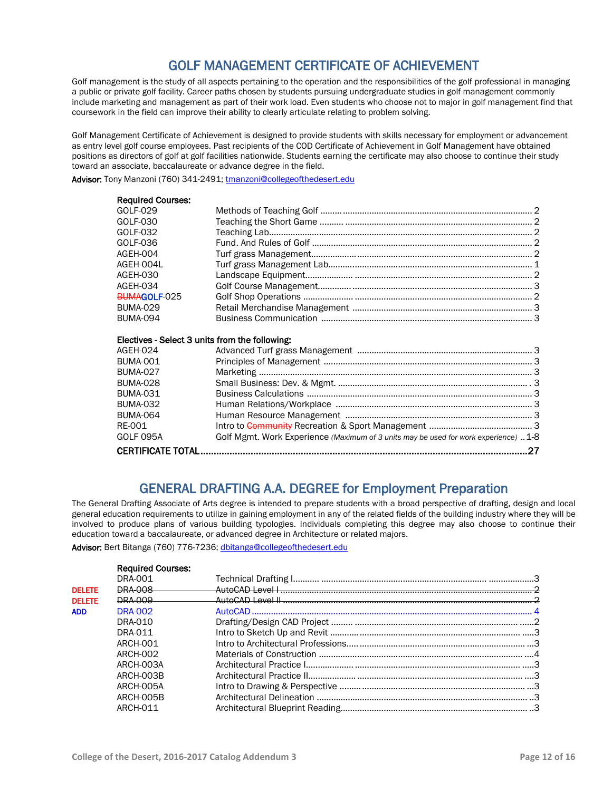### GOLF MANAGEMENT CERTIFICATE OF ACHIEVEMENT

Golf management is the study of all aspects pertaining to the operation and the responsibilities of the golf professional in managing a public or private golf facility. Career paths chosen by students pursuing undergraduate studies in golf management commonly include marketing and management as part of their work load. Even students who choose not to major in golf management find that coursework in the field can improve their ability to clearly articulate relating to problem solving.

Golf Management Certificate of Achievement is designed to provide students with skills necessary for employment or advancement as entry level golf course employees. Past recipients of the COD Certificate of Achievement in Golf Management have obtained positions as directors of golf at golf facilities nationwide. Students earning the certificate may also choose to continue their study toward an associate, baccalaureate or advance degree in the field.

Advisor: Tony Manzoni (760) 341-2491[; tmanzoni@collegeofthedesert.edu](mailto:tmanzoni@collegeofthedesert.edu)

| <b>Required Courses:</b> |                                                |  |
|--------------------------|------------------------------------------------|--|
| GOLF-029                 |                                                |  |
| GOLF-030                 |                                                |  |
| GOLF-032                 |                                                |  |
| GOLF-036                 |                                                |  |
| AGEH-004                 |                                                |  |
| AGEH-004L                |                                                |  |
| AGEH-030                 |                                                |  |
| AGEH-034                 |                                                |  |
| BUMAGOLF-025             |                                                |  |
| <b>BUMA-029</b>          |                                                |  |
| BUMA-094                 |                                                |  |
|                          | Electives - Select 3 units from the following: |  |
| AGEH-024                 |                                                |  |
| BUMA-001                 |                                                |  |
| <b>BUMA-027</b>          |                                                |  |
| <b>BUMA-028</b>          |                                                |  |
| <b>BUMA-031</b>          |                                                |  |
| <b>BUMA-032</b>          |                                                |  |

| <b>BUMA-064</b> |                                                                                     |  |
|-----------------|-------------------------------------------------------------------------------------|--|
| RE-001          |                                                                                     |  |
| GOLF 095A       | Golf Mgmt. Work Experience (Maximum of 3 units may be used for work experience) 1-8 |  |
|                 |                                                                                     |  |
|                 |                                                                                     |  |

## GENERAL DRAFTING A.A. DEGREE for Employment Preparation<br>The General Drafting Associate of Arts degree is intended to prepare students with a broad perspective of drafting, design and local

general education requirements to utilize in gaining employment in any of the related fields of the building industry where they will be involved to produce plans of various building typologies. Individuals completing this degree may also choose to continue their education toward a baccalaureate, or advanced degree in Architecture or related majors.

Advisor: Bert Bitanga (760) 776-7236[; dbitanga@collegeofthedesert.edu](mailto:dbitanga@collegeofthedesert.edu)

|               | <b>Required Courses:</b> |  |
|---------------|--------------------------|--|
|               | <b>DRA-001</b>           |  |
| <b>DELETE</b> | <b>DRA 008</b>           |  |
| <b>DELETE</b> | <b>DRA 009</b>           |  |
| <b>ADD</b>    | <b>DRA-002</b>           |  |
|               | DRA-010                  |  |
|               | DRA-011                  |  |
|               | <b>ARCH-001</b>          |  |
|               | ARCH-002                 |  |
|               | ARCH-003A                |  |
|               | ARCH-003B                |  |
|               | ARCH-005A                |  |
|               | ARCH-005B                |  |
|               | ARCH-011                 |  |
|               |                          |  |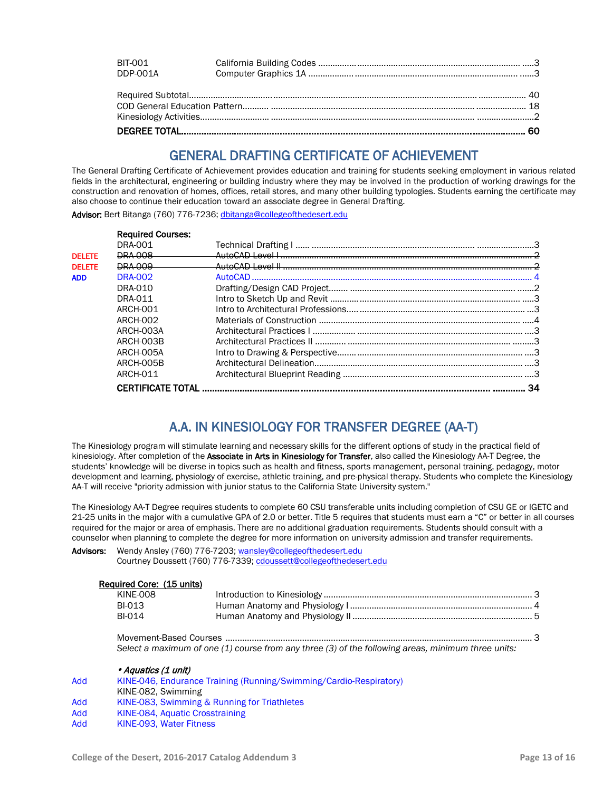| <b>BIT-001</b> |  |
|----------------|--|
| DDP-001A       |  |
|                |  |
|                |  |
|                |  |
|                |  |
|                |  |

## GENERAL DRAFTING CERTIFICATE OF ACHIEVEMENT<br>The General Drafting Certificate of Achievement provides education and training for students seeking employment in various related

fields in the architectural, engineering or building industry where they may be involved in the production of working drawings for the construction and renovation of homes, offices, retail stores, and many other building typologies. Students earning the certificate may also choose to continue their education toward an associate degree in General Drafting.

Advisor: Bert Bitanga (760) 776-7236[; dbitanga@collegeofthedesert.edu](mailto:dbitanga@collegeofthedesert.edu)

|               | <b>Required Courses:</b> |    |
|---------------|--------------------------|----|
|               | <b>DRA-001</b>           |    |
| <b>DELETE</b> | <b>DRA 008</b>           |    |
| <b>DELETE</b> | <b>DRA 009</b>           |    |
| <b>ADD</b>    | <b>DRA-002</b>           |    |
|               | DRA-010                  |    |
|               | DRA-011                  |    |
|               | ARCH-001                 |    |
|               | ARCH-002                 |    |
|               | ARCH-003A                |    |
|               | ARCH-003B                |    |
|               | ARCH-005A                |    |
|               | ARCH-005B                |    |
|               | ARCH-011                 |    |
|               | <b>CERTIFICATE TOTAL</b> | 34 |

### A.A. IN KINESIOLOGY FOR TRANSFER DEGREE (AA-T)

The Kinesiology program will stimulate learning and necessary skills for the different options of study in the practical field of kinesiology. After completion of the Associate in Arts in Kinesiology for Transfer, also called the Kinesiology AA-T Degree, the students' knowledge will be diverse in topics such as health and fitness, sports management, personal training, pedagogy, motor development and learning, physiology of exercise, athletic training, and pre-physical therapy. Students who complete the Kinesiology AA-T will receive "priority admission with junior status to the California State University system."

The Kinesiology AA-T Degree requires students to complete 60 CSU transferable units including completion of CSU GE or IGETC and 21-25 units in the major with a cumulative GPA of 2.0 or better. Title 5 requires that students must earn a "C" or better in all courses required for the major or area of emphasis. There are no additional graduation requirements. Students should consult with a counselor when planning to complete the degree for more information on university admission and transfer requirements.

Advisors: Wendy Ansley (760) 776-7203[; wansley@collegeofthedesert.edu](mailto:wansley@collegeofthedesert.edu) Courtney Doussett (760) 776-7339[; cdoussett@collegeofthedesert.edu](mailto:cdoussett@collegeofthedesert.edu)

| Required Core: (15 units) |  |
|---------------------------|--|
| KINE-008                  |  |
| <b>BI-013</b>             |  |
| <b>BI-014</b>             |  |
|                           |  |

Movement-Based Courses ................................................................................................................................ 3 *Select a maximum of one (1) course from any three (3) of the following areas, minimum three units:*

|     | • Aquatics (1 unit)                                                |
|-----|--------------------------------------------------------------------|
| Add | KINE-046, Endurance Training (Running/Swimming/Cardio-Respiratory) |
|     | KINE-082, Swimming                                                 |
| Add | KINE-083, Swimming & Running for Triathletes                       |
| Add | KINE-084, Aquatic Crosstraining                                    |
| Add | KINE-093. Water Fitness                                            |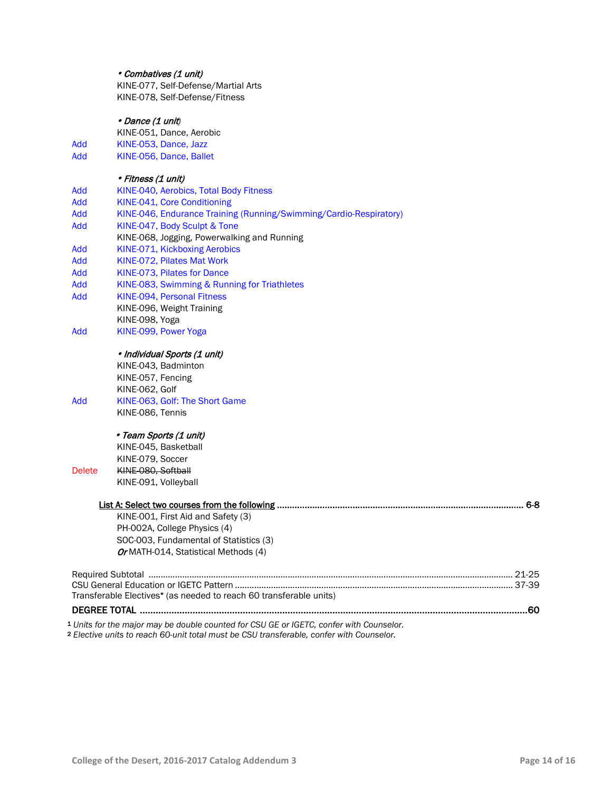### Combatives (1 unit)

KINE-077, Self-Defense/Martial Arts KINE-078, Self-Defense/Fitness

### Dance (1 unit*)*

- KINE-051, Dance, Aerobic
- Add KINE-053, Dance, Jazz
- Add KINE-056, Dance, Ballet

### *Fitness (1 unit)*<br>Add **KINE 040 Acrobid**

| Add           | KINE-040, Aerobics, Total Body Fitness                                                  |  |
|---------------|-----------------------------------------------------------------------------------------|--|
| Add           | KINE-041, Core Conditioning                                                             |  |
| Add           | KINE-046, Endurance Training (Running/Swimming/Cardio-Respiratory)                      |  |
| Add           | KINE-047, Body Sculpt & Tone                                                            |  |
|               | KINE-068, Jogging, Powerwalking and Running                                             |  |
| Add           | KINE-071, Kickboxing Aerobics                                                           |  |
| Add           | KINE-072, Pilates Mat Work                                                              |  |
| Add           | KINE-073, Pilates for Dance                                                             |  |
| Add           | KINE-083, Swimming & Running for Triathletes                                            |  |
| Add           | <b>KINE-094. Personal Fitness</b>                                                       |  |
|               | KINE-096, Weight Training                                                               |  |
|               | KINE-098, Yoga                                                                          |  |
| Add           | KINE-099, Power Yoga                                                                    |  |
|               | · Individual Sports (1 unit)                                                            |  |
|               | KINE-043, Badminton                                                                     |  |
|               | KINE-057, Fencing                                                                       |  |
|               | KINE-062, Golf                                                                          |  |
| Add           | KINE-063, Golf: The Short Game                                                          |  |
|               | KINE-086, Tennis                                                                        |  |
|               | • Team Sports (1 unit)                                                                  |  |
|               | KINE-045, Basketball                                                                    |  |
|               | KINE-079, Soccer                                                                        |  |
| <b>Delete</b> | KINE-080, Softball                                                                      |  |
|               | KINE-091, Volleyball                                                                    |  |
|               |                                                                                         |  |
|               | KINE-001, First Aid and Safety (3)                                                      |  |
|               | PH-002A, College Physics (4)                                                            |  |
|               | SOC-003, Fundamental of Statistics (3)                                                  |  |
|               | Or MATH-014, Statistical Methods (4)                                                    |  |
|               |                                                                                         |  |
|               |                                                                                         |  |
|               | Transferable Electives* (as needed to reach 60 transferable units)                      |  |
|               |                                                                                         |  |
|               | 1 Units for the major may be double counted for CSU GE or IGETC, confer with Counselor. |  |

<sup>2</sup> *Elective units to reach 60-unit total must be CSU transferable, confer with Counselor.*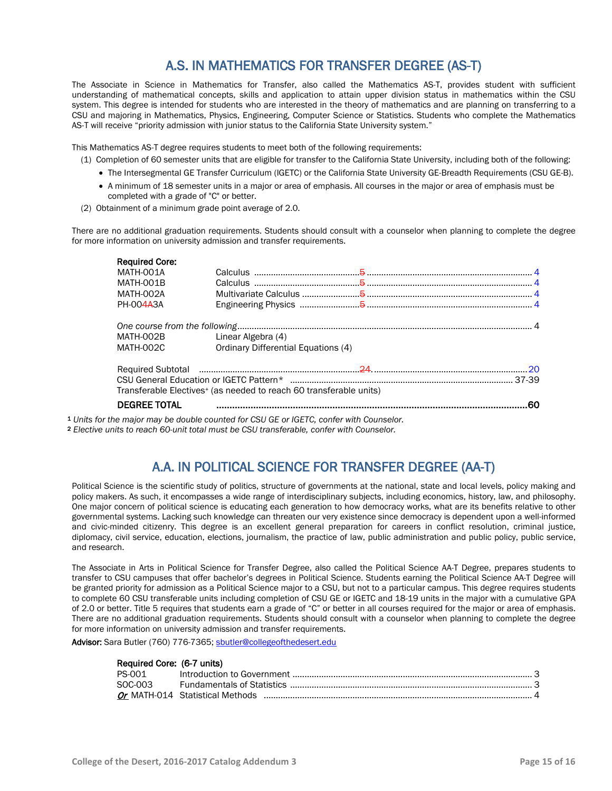### A.S. IN MATHEMATICS FOR TRANSFER DEGREE (AS-T)

The Associate in Science in Mathematics for Transfer, also called the Mathematics AS-T, provides student with sufficient understanding of mathematical concepts, skills and application to attain upper division status in mathematics within the CSU system. This degree is intended for students who are interested in the theory of mathematics and are planning on transferring to a CSU and majoring in Mathematics, Physics, Engineering, Computer Science or Statistics. Students who complete the Mathematics AS-T will receive "priority admission with junior status to the California State University system."

This Mathematics AS-T degree requires students to meet both of the following requirements:

- (1) Completion of 60 semester units that are eligible for transfer to the California State University, including both of the following:
	- The Intersegmental GE Transfer Curriculum (IGETC) or the California State University GE-Breadth Requirements (CSU GE-B).
	- A minimum of 18 semester units in a major or area of emphasis. All courses in the major or area of emphasis must be completed with a grade of "C" or better.
- (2) Obtainment of a minimum grade point average of 2.0.

There are no additional graduation requirements. Students should consult with a counselor when planning to complete the degree for more information on university admission and transfer requirements.

| <b>Required Core:</b> |                                                                                |                                                                                                                                                                                                                                |      |
|-----------------------|--------------------------------------------------------------------------------|--------------------------------------------------------------------------------------------------------------------------------------------------------------------------------------------------------------------------------|------|
| MATH-001A             |                                                                                | Calculus $\frac{4}{1}$                                                                                                                                                                                                         |      |
| MATH-001B             |                                                                                |                                                                                                                                                                                                                                |      |
| MATH-002A             |                                                                                |                                                                                                                                                                                                                                |      |
| PH-004A3A             |                                                                                |                                                                                                                                                                                                                                |      |
|                       |                                                                                |                                                                                                                                                                                                                                |      |
| MATH-002B             | Linear Algebra (4)                                                             |                                                                                                                                                                                                                                |      |
| MATH-002C             | Ordinary Differential Equations (4)                                            |                                                                                                                                                                                                                                |      |
|                       |                                                                                | Required Subtotal members and contact the contract of the contract of the contract of the contract of the contract of the contract of the contract of the contract of the contract of the contract of the contract of the cont | - 20 |
|                       |                                                                                |                                                                                                                                                                                                                                |      |
|                       | Transferable Electives <sup>+</sup> (as needed to reach 60 transferable units) |                                                                                                                                                                                                                                |      |
| <b>DEGREE TOTAL</b>   |                                                                                |                                                                                                                                                                                                                                | .60  |
|                       |                                                                                |                                                                                                                                                                                                                                |      |

<sup>1</sup> *Units for the major may be double counted for CSU GE or IGETC, confer with Counselor.*

<sup>2</sup> *Elective units to reach 60-unit total must be CSU transferable, confer with Counselor.* 

### A.A. IN POLITICAL SCIENCE FOR TRANSFER DEGREE (AA-T)

Political Science is the scientific study of politics, structure of governments at the national, state and local levels, policy making and policy makers. As such, it encompasses a wide range of interdisciplinary subjects, including economics, history, law, and philosophy. One major concern of political science is educating each generation to how democracy works, what are its benefits relative to other governmental systems. Lacking such knowledge can threaten our very existence since democracy is dependent upon a well-informed and civic-minded citizenry. This degree is an excellent general preparation for careers in conflict resolution, criminal justice, diplomacy, civil service, education, elections, journalism, the practice of law, public administration and public policy, public service, and research.

The Associate in Arts in Political Science for Transfer Degree, also called the Political Science AA-T Degree, prepares students to transfer to CSU campuses that offer bachelor's degrees in Political Science. Students earning the Political Science AA-T Degree will be granted priority for admission as a Political Science major to a CSU, but not to a particular campus. This degree requires students to complete 60 CSU transferable units including completion of CSU GE or IGETC and 18-19 units in the major with a cumulative GPA of 2.0 or better. Title 5 requires that students earn a grade of "C" or better in all courses required for the major or area of emphasis. There are no additional graduation requirements. Students should consult with a counselor when planning to complete the degree for more information on university admission and transfer requirements.

Advisor: Sara Butler (760) 776-7365; [sbutler@collegeofthedesert.edu](mailto:sbutler@collegeofthedesert.edu)

### Required Core: (6-7 units)

| PS-001  |  |
|---------|--|
| SOC-003 |  |
|         |  |